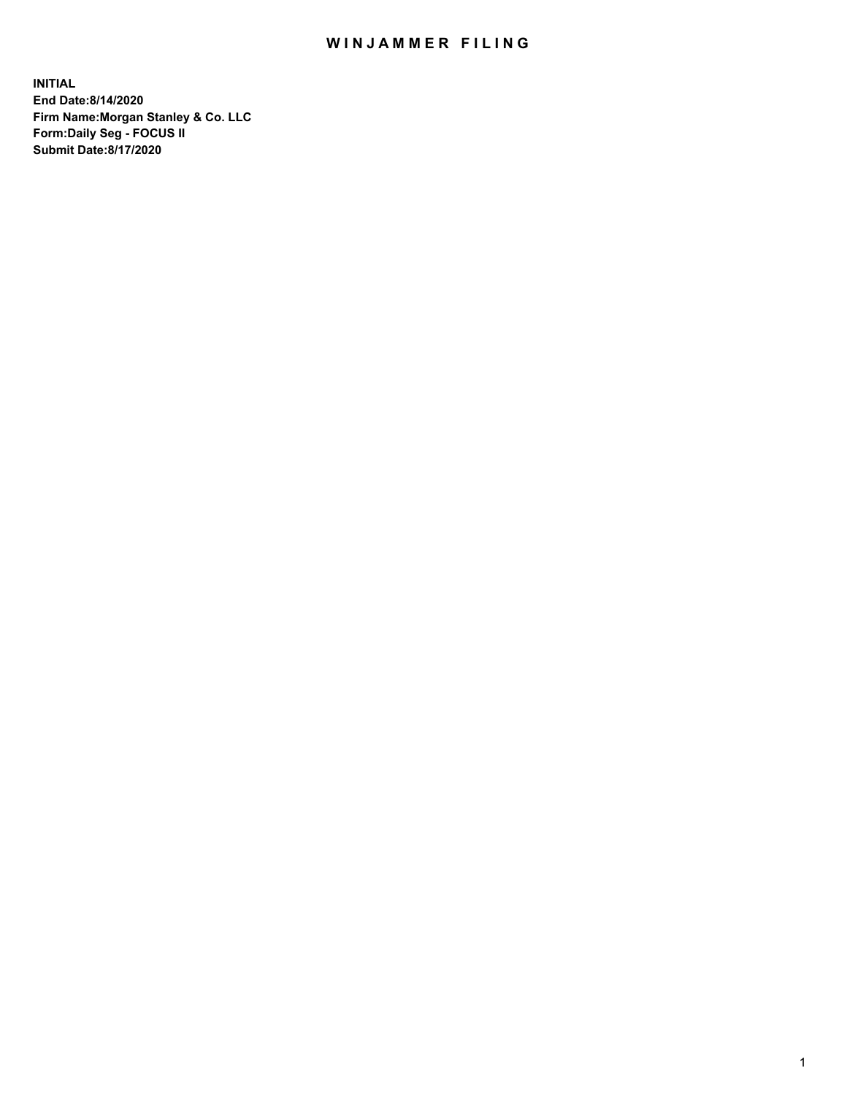## WIN JAMMER FILING

**INITIAL End Date:8/14/2020 Firm Name:Morgan Stanley & Co. LLC Form:Daily Seg - FOCUS II Submit Date:8/17/2020**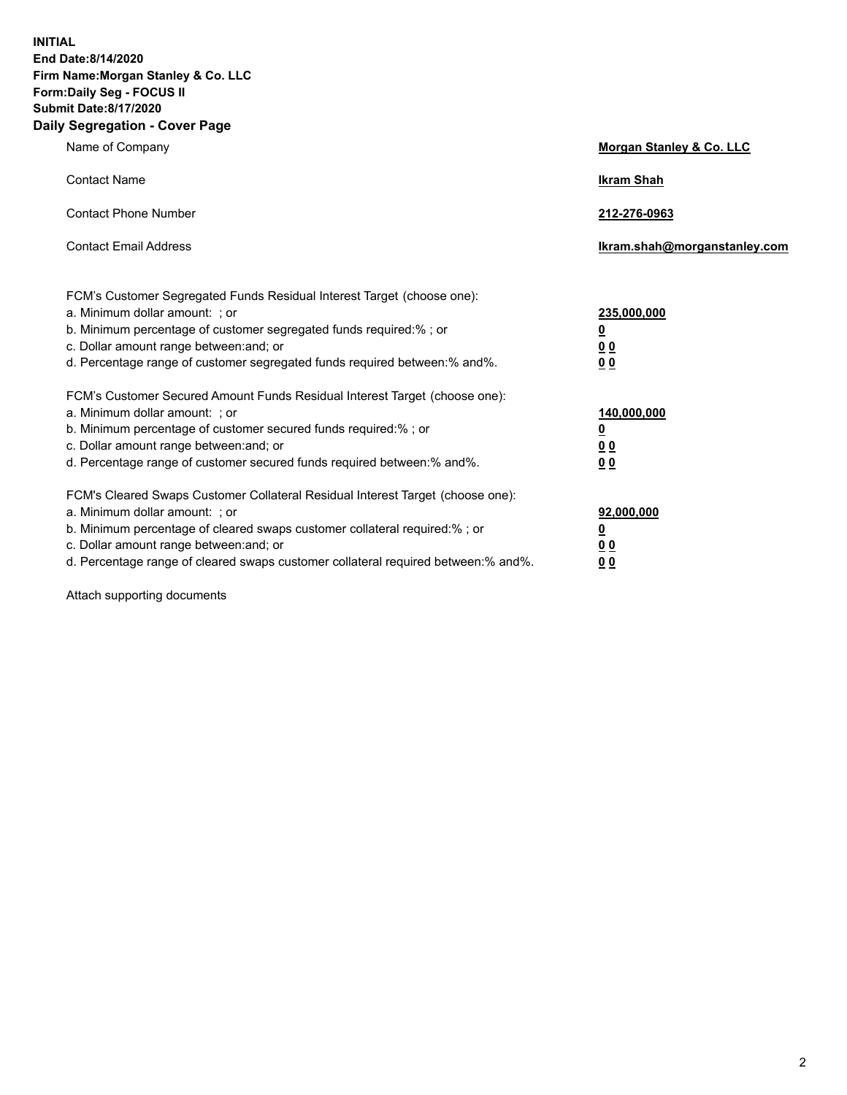**INITIAL End Date:8/14/2020 Firm Name:Morgan Stanley & Co. LLC Form:Daily Seg - FOCUS II Submit Date:8/17/2020 Daily Segregation - Cover Page**

| Name of Company                                                                                                                                                                                                                                                                                                                | Morgan Stanley & Co. LLC                                |
|--------------------------------------------------------------------------------------------------------------------------------------------------------------------------------------------------------------------------------------------------------------------------------------------------------------------------------|---------------------------------------------------------|
| <b>Contact Name</b>                                                                                                                                                                                                                                                                                                            | <b>Ikram Shah</b>                                       |
| <b>Contact Phone Number</b>                                                                                                                                                                                                                                                                                                    | 212-276-0963                                            |
| <b>Contact Email Address</b>                                                                                                                                                                                                                                                                                                   | Ikram.shah@morganstanley.com                            |
| FCM's Customer Segregated Funds Residual Interest Target (choose one):<br>a. Minimum dollar amount: ; or<br>b. Minimum percentage of customer segregated funds required:% ; or<br>c. Dollar amount range between: and; or<br>d. Percentage range of customer segregated funds required between:% and%.                         | 235,000,000<br><u>0</u><br><u>00</u><br><u>00</u>       |
| FCM's Customer Secured Amount Funds Residual Interest Target (choose one):<br>a. Minimum dollar amount: ; or<br>b. Minimum percentage of customer secured funds required:%; or<br>c. Dollar amount range between: and; or<br>d. Percentage range of customer secured funds required between:% and%.                            | 140,000,000<br><u>0</u><br><u>0 0</u><br>0 <sub>0</sub> |
| FCM's Cleared Swaps Customer Collateral Residual Interest Target (choose one):<br>a. Minimum dollar amount: ; or<br>b. Minimum percentage of cleared swaps customer collateral required:% ; or<br>c. Dollar amount range between: and; or<br>d. Percentage range of cleared swaps customer collateral required between:% and%. | 92,000,000<br><u>0</u><br><u>00</u><br>00               |

Attach supporting documents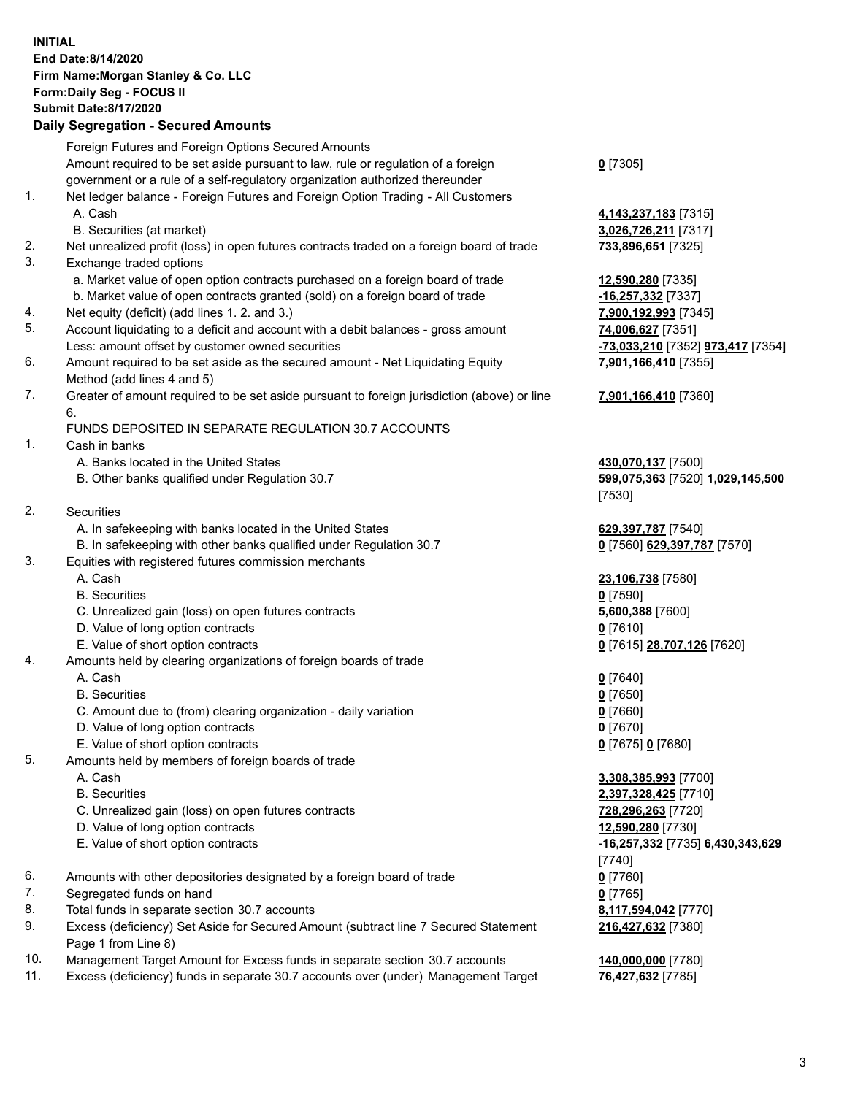## **INITIAL End Date:8/14/2020 Firm Name:Morgan Stanley & Co. LLC Form:Daily Seg - FOCUS II Submit Date:8/17/2020**

## **Daily Segregation - Secured Amounts**

|                | Foreign Futures and Foreign Options Secured Amounts                                         |                                   |
|----------------|---------------------------------------------------------------------------------------------|-----------------------------------|
|                | Amount required to be set aside pursuant to law, rule or regulation of a foreign            | $0$ [7305]                        |
|                | government or a rule of a self-regulatory organization authorized thereunder                |                                   |
| $\mathbf{1}$ . | Net ledger balance - Foreign Futures and Foreign Option Trading - All Customers             |                                   |
|                | A. Cash                                                                                     | 4,143,237,183 [7315]              |
|                | B. Securities (at market)                                                                   | 3,026,726,211 [7317]              |
| 2.             | Net unrealized profit (loss) in open futures contracts traded on a foreign board of trade   | 733,896,651 [7325]                |
| 3.             | Exchange traded options                                                                     |                                   |
|                | a. Market value of open option contracts purchased on a foreign board of trade              | 12,590,280 [7335]                 |
|                | b. Market value of open contracts granted (sold) on a foreign board of trade                | -16,257,332 [7337]                |
| 4.             | Net equity (deficit) (add lines 1. 2. and 3.)                                               | 7,900,192,993 [7345]              |
| 5.             | Account liquidating to a deficit and account with a debit balances - gross amount           | 74,006,627 [7351]                 |
|                | Less: amount offset by customer owned securities                                            | -73,033,210 [7352] 973,417 [7354] |
| 6.             | Amount required to be set aside as the secured amount - Net Liquidating Equity              | 7,901,166,410 [7355]              |
|                | Method (add lines 4 and 5)                                                                  |                                   |
| 7.             | Greater of amount required to be set aside pursuant to foreign jurisdiction (above) or line | 7,901,166,410 [7360]              |
|                | 6.                                                                                          |                                   |
|                | FUNDS DEPOSITED IN SEPARATE REGULATION 30.7 ACCOUNTS                                        |                                   |
| $\mathbf{1}$ . | Cash in banks                                                                               |                                   |
|                | A. Banks located in the United States                                                       | 430,070,137 [7500]                |
|                | B. Other banks qualified under Regulation 30.7                                              | 599,075,363 [7520] 1,029,145,500  |
|                |                                                                                             | [7530]                            |
| 2.             | <b>Securities</b>                                                                           |                                   |
|                | A. In safekeeping with banks located in the United States                                   | 629,397,787 [7540]                |
|                | B. In safekeeping with other banks qualified under Regulation 30.7                          | 0 [7560] 629,397,787 [7570]       |
| 3.             | Equities with registered futures commission merchants                                       |                                   |
|                | A. Cash                                                                                     | 23,106,738 [7580]                 |
|                | <b>B.</b> Securities                                                                        | $0$ [7590]                        |
|                | C. Unrealized gain (loss) on open futures contracts                                         | 5,600,388 [7600]                  |
|                | D. Value of long option contracts                                                           | $0$ [7610]                        |
|                | E. Value of short option contracts                                                          | 0 [7615] 28,707,126 [7620]        |
| 4.             | Amounts held by clearing organizations of foreign boards of trade                           |                                   |
|                | A. Cash                                                                                     | $0$ [7640]                        |
|                | <b>B.</b> Securities                                                                        | $0$ [7650]                        |
|                | C. Amount due to (from) clearing organization - daily variation                             | $0$ [7660]                        |
|                | D. Value of long option contracts                                                           | $0$ [7670]                        |
|                | E. Value of short option contracts                                                          | 0 [7675] 0 [7680]                 |
| 5.             | Amounts held by members of foreign boards of trade                                          |                                   |
|                | A. Cash                                                                                     | 3,308,385,993 [7700]              |
|                | <b>B.</b> Securities                                                                        | 2,397,328,425 [7710]              |
|                | C. Unrealized gain (loss) on open futures contracts                                         | 728,296,263 [7720]                |
|                | D. Value of long option contracts                                                           | 12,590,280 [7730]                 |
|                | E. Value of short option contracts                                                          | -16,257,332 [7735] 6,430,343,629  |
|                |                                                                                             | $[7740]$                          |
| 6.             | Amounts with other depositories designated by a foreign board of trade                      | $0$ [7760]                        |
| 7.             | Segregated funds on hand                                                                    | $0$ [7765]                        |
| 8.             | Total funds in separate section 30.7 accounts                                               | 8,117,594,042 [7770]              |
| 9.             | Excess (deficiency) Set Aside for Secured Amount (subtract line 7 Secured Statement         | 216,427,632 [7380]                |
|                | Page 1 from Line 8)                                                                         |                                   |
| 10.            | Management Target Amount for Excess funds in separate section 30.7 accounts                 | 140,000,000 [7780]                |

- 
- 11. Excess (deficiency) funds in separate 30.7 accounts over (under) Management Target **76,427,632** [7785]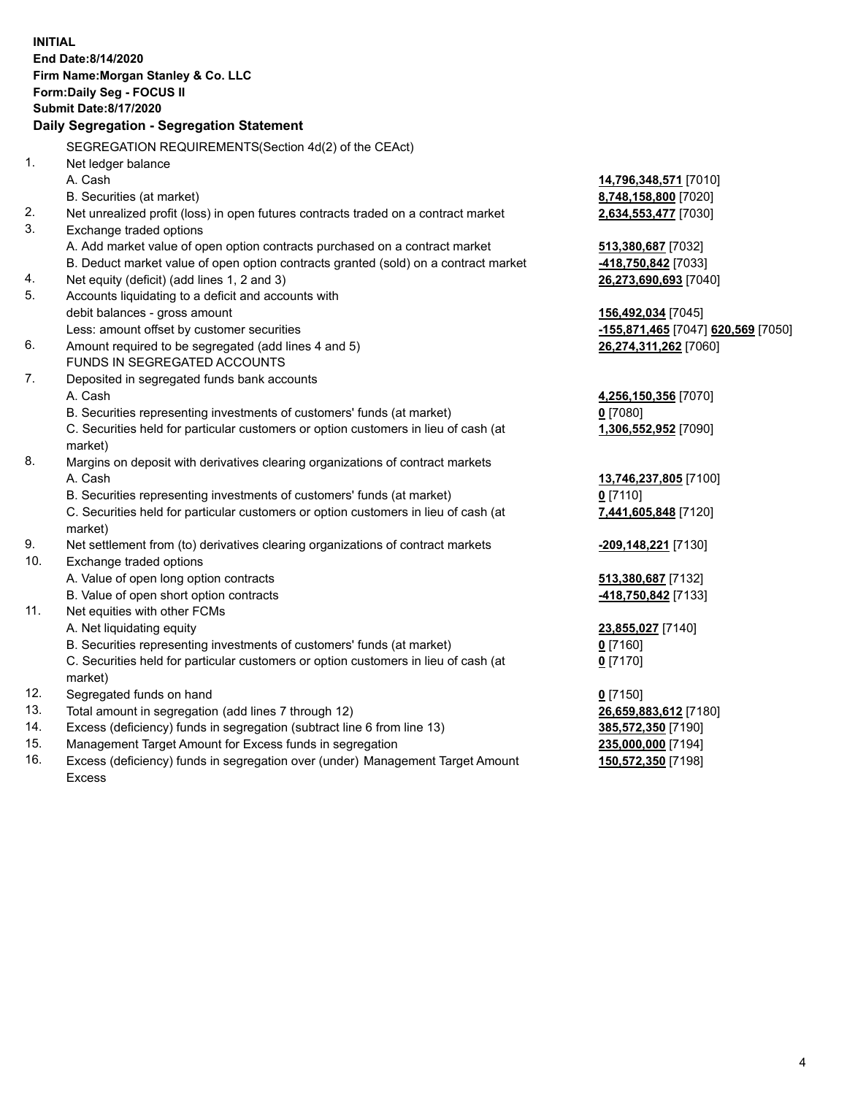|     | <b>INITIAL</b><br>End Date:8/14/2020<br>Firm Name: Morgan Stanley & Co. LLC<br>Form: Daily Seg - FOCUS II<br><b>Submit Date:8/17/2020</b><br>Daily Segregation - Segregation Statement |                                    |
|-----|----------------------------------------------------------------------------------------------------------------------------------------------------------------------------------------|------------------------------------|
|     | SEGREGATION REQUIREMENTS(Section 4d(2) of the CEAct)                                                                                                                                   |                                    |
| 1.  | Net ledger balance                                                                                                                                                                     |                                    |
|     | A. Cash                                                                                                                                                                                | 14,796,348,571 [7010]              |
|     | B. Securities (at market)                                                                                                                                                              | 8,748,158,800 [7020]               |
| 2.  | Net unrealized profit (loss) in open futures contracts traded on a contract market                                                                                                     | 2,634,553,477 [7030]               |
| 3.  | Exchange traded options                                                                                                                                                                |                                    |
|     | A. Add market value of open option contracts purchased on a contract market                                                                                                            | 513,380,687 [7032]                 |
|     | B. Deduct market value of open option contracts granted (sold) on a contract market                                                                                                    | 418,750,842 [7033]                 |
| 4.  | Net equity (deficit) (add lines 1, 2 and 3)                                                                                                                                            | 26,273,690,693 [7040]              |
| 5.  | Accounts liquidating to a deficit and accounts with                                                                                                                                    |                                    |
|     | debit balances - gross amount                                                                                                                                                          | 156,492,034 [7045]                 |
|     | Less: amount offset by customer securities                                                                                                                                             | -155,871,465 [7047] 620,569 [7050] |
| 6.  | Amount required to be segregated (add lines 4 and 5)                                                                                                                                   | 26,274,311,262 [7060]              |
|     | FUNDS IN SEGREGATED ACCOUNTS                                                                                                                                                           |                                    |
| 7.  | Deposited in segregated funds bank accounts                                                                                                                                            |                                    |
|     | A. Cash                                                                                                                                                                                | 4,256,150,356 [7070]               |
|     | B. Securities representing investments of customers' funds (at market)                                                                                                                 | $0$ [7080]                         |
|     | C. Securities held for particular customers or option customers in lieu of cash (at                                                                                                    | 1,306,552,952 [7090]               |
|     | market)                                                                                                                                                                                |                                    |
| 8.  | Margins on deposit with derivatives clearing organizations of contract markets                                                                                                         |                                    |
|     | A. Cash                                                                                                                                                                                | 13,746,237,805 [7100]              |
|     | B. Securities representing investments of customers' funds (at market)                                                                                                                 | $0$ [7110]                         |
|     | C. Securities held for particular customers or option customers in lieu of cash (at<br>market)                                                                                         | 7,441,605,848 [7120]               |
| 9.  | Net settlement from (to) derivatives clearing organizations of contract markets                                                                                                        | -209,148,221 [7130]                |
| 10. | Exchange traded options                                                                                                                                                                |                                    |
|     | A. Value of open long option contracts                                                                                                                                                 | 513,380,687 [7132]                 |
|     | B. Value of open short option contracts                                                                                                                                                | 418,750,842 [7133]                 |
| 11. | Net equities with other FCMs                                                                                                                                                           |                                    |
|     | A. Net liquidating equity                                                                                                                                                              | 23,855,027 [7140]                  |
|     | B. Securities representing investments of customers' funds (at market)                                                                                                                 | $0$ [7160]                         |
|     | C. Securities held for particular customers or option customers in lieu of cash (at<br>market)                                                                                         | $0$ [7170]                         |
| 12. | Segregated funds on hand                                                                                                                                                               | $0$ [7150]                         |
| 13. | Total amount in segregation (add lines 7 through 12)                                                                                                                                   | 26,659,883,612 [7180]              |
| 14. | Excess (deficiency) funds in segregation (subtract line 6 from line 13)                                                                                                                | 385,572,350 [7190]                 |
| 15. | Management Target Amount for Excess funds in segregation                                                                                                                               | 235,000,000 [7194]                 |
| 16. | Excess (deficiency) funds in segregation over (under) Management Target Amount                                                                                                         | 150,572,350 [7198]                 |

16. Excess (deficiency) funds in segregation over (under) Management Target Amount Excess